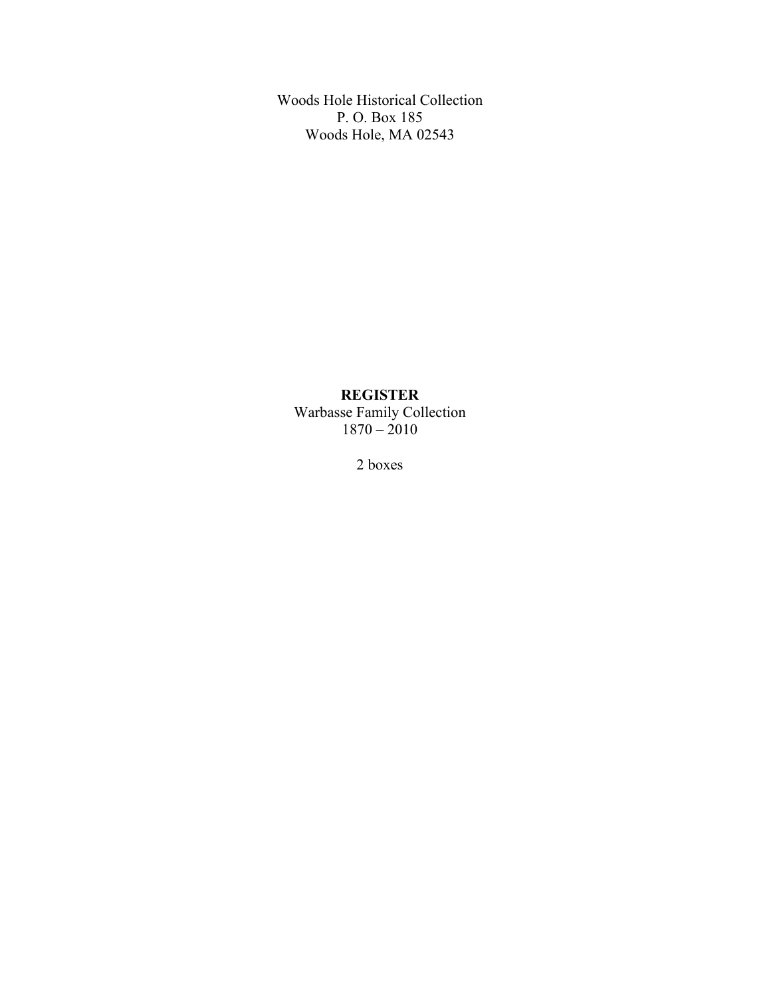Woods Hole Historical Collection P. O. Box 185 Woods Hole, MA 02543

# **REGISTER**

Warbasse Family Collection 1870 – 2010

2 boxes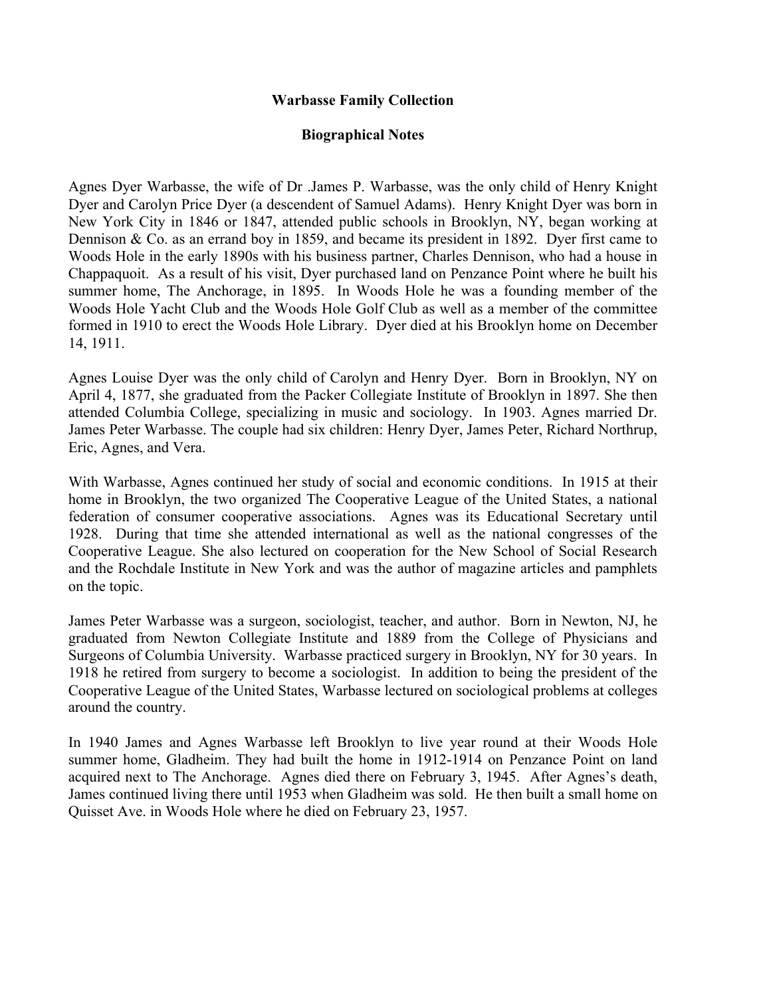### **Warbasse Family Collection**

### **Biographical Notes**

Agnes Dyer Warbasse, the wife of Dr .James P. Warbasse, was the only child of Henry Knight Dyer and Carolyn Price Dyer (a descendent of Samuel Adams). Henry Knight Dyer was born in New York City in 1846 or 1847, attended public schools in Brooklyn, NY, began working at Dennison & Co. as an errand boy in 1859, and became its president in 1892. Dyer first came to Woods Hole in the early 1890s with his business partner, Charles Dennison, who had a house in Chappaquoit. As a result of his visit, Dyer purchased land on Penzance Point where he built his summer home, The Anchorage, in 1895. In Woods Hole he was a founding member of the Woods Hole Yacht Club and the Woods Hole Golf Club as well as a member of the committee formed in 1910 to erect the Woods Hole Library. Dyer died at his Brooklyn home on December 14, 1911.

Agnes Louise Dyer was the only child of Carolyn and Henry Dyer. Born in Brooklyn, NY on April 4, 1877, she graduated from the Packer Collegiate Institute of Brooklyn in 1897. She then attended Columbia College, specializing in music and sociology. In 1903. Agnes married Dr. James Peter Warbasse. The couple had six children: Henry Dyer, James Peter, Richard Northrup, Eric, Agnes, and Vera.

With Warbasse, Agnes continued her study of social and economic conditions. In 1915 at their home in Brooklyn, the two organized The Cooperative League of the United States, a national federation of consumer cooperative associations. Agnes was its Educational Secretary until 1928. During that time she attended international as well as the national congresses of the Cooperative League. She also lectured on cooperation for the New School of Social Research and the Rochdale Institute in New York and was the author of magazine articles and pamphlets on the topic.

James Peter Warbasse was a surgeon, sociologist, teacher, and author. Born in Newton, NJ, he graduated from Newton Collegiate Institute and 1889 from the College of Physicians and Surgeons of Columbia University. Warbasse practiced surgery in Brooklyn, NY for 30 years. In 1918 he retired from surgery to become a sociologist. In addition to being the president of the Cooperative League of the United States, Warbasse lectured on sociological problems at colleges around the country.

In 1940 James and Agnes Warbasse left Brooklyn to live year round at their Woods Hole summer home, Gladheim. They had built the home in 1912-1914 on Penzance Point on land acquired next to The Anchorage. Agnes died there on February 3, 1945. After Agnes's death, James continued living there until 1953 when Gladheim was sold. He then built a small home on Quisset Ave. in Woods Hole where he died on February 23, 1957.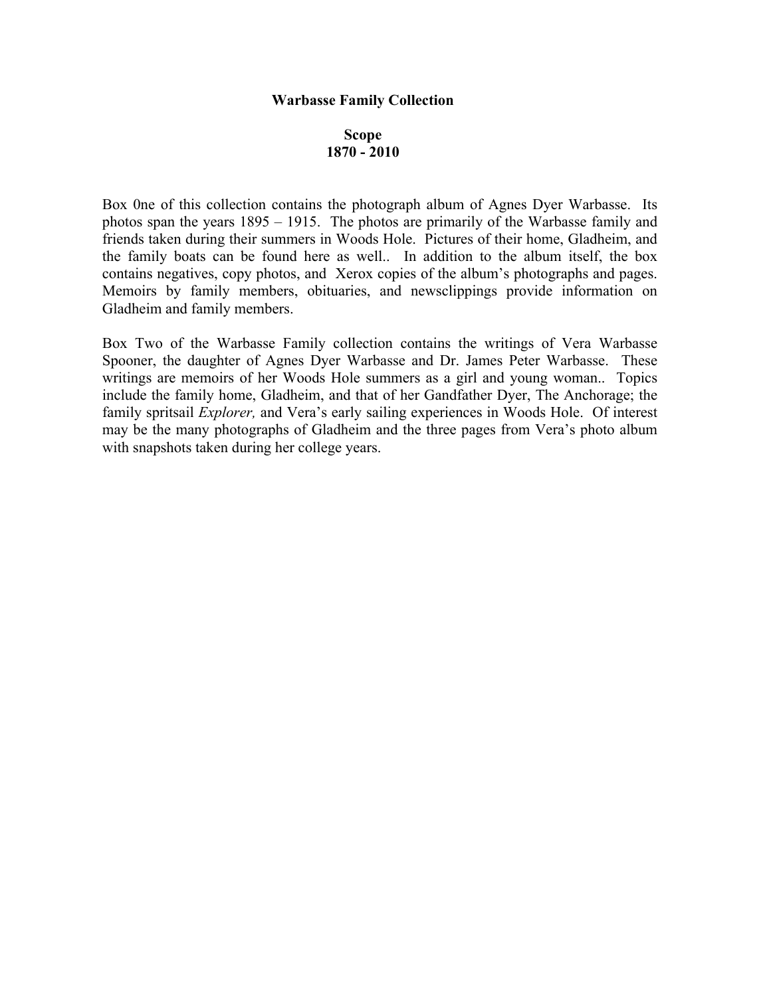#### **Warbasse Family Collection**

# **Scope 1870 - 2010**

Box 0ne of this collection contains the photograph album of Agnes Dyer Warbasse. Its photos span the years 1895 – 1915. The photos are primarily of the Warbasse family and friends taken during their summers in Woods Hole. Pictures of their home, Gladheim, and the family boats can be found here as well.. In addition to the album itself, the box contains negatives, copy photos, and Xerox copies of the album's photographs and pages. Memoirs by family members, obituaries, and newsclippings provide information on Gladheim and family members.

Box Two of the Warbasse Family collection contains the writings of Vera Warbasse Spooner, the daughter of Agnes Dyer Warbasse and Dr. James Peter Warbasse. These writings are memoirs of her Woods Hole summers as a girl and young woman.. Topics include the family home, Gladheim, and that of her Gandfather Dyer, The Anchorage; the family spritsail *Explorer,* and Vera's early sailing experiences in Woods Hole. Of interest may be the many photographs of Gladheim and the three pages from Vera's photo album with snapshots taken during her college years.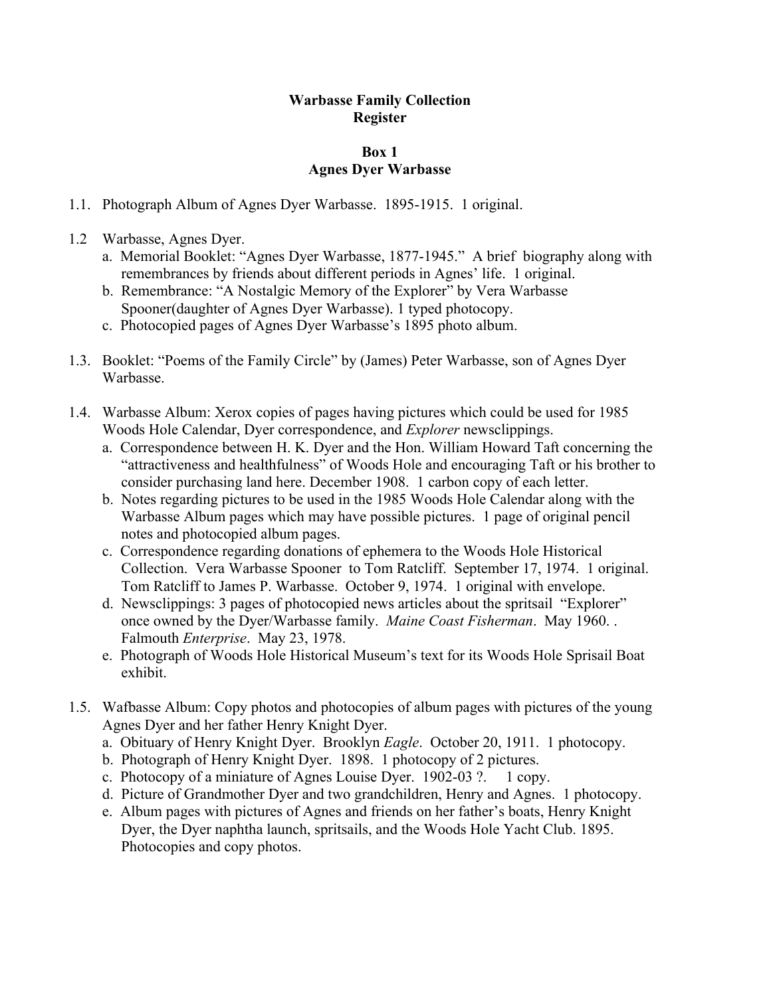# **Warbasse Family Collection Register**

### **Box 1 Agnes Dyer Warbasse**

- 1.1. Photograph Album of Agnes Dyer Warbasse. 1895-1915. 1 original.
- 1.2 Warbasse, Agnes Dyer.
	- a. Memorial Booklet: "Agnes Dyer Warbasse, 1877-1945." A brief biography along with remembrances by friends about different periods in Agnes' life. 1 original.
	- b. Remembrance: "A Nostalgic Memory of the Explorer" by Vera Warbasse Spooner(daughter of Agnes Dyer Warbasse). 1 typed photocopy.
	- c. Photocopied pages of Agnes Dyer Warbasse's 1895 photo album.
- 1.3. Booklet: "Poems of the Family Circle" by (James) Peter Warbasse, son of Agnes Dyer Warbasse.
- 1.4. Warbasse Album: Xerox copies of pages having pictures which could be used for 1985 Woods Hole Calendar, Dyer correspondence, and *Explorer* newsclippings.
	- a. Correspondence between H. K. Dyer and the Hon. William Howard Taft concerning the "attractiveness and healthfulness" of Woods Hole and encouraging Taft or his brother to consider purchasing land here. December 1908. 1 carbon copy of each letter.
	- b. Notes regarding pictures to be used in the 1985 Woods Hole Calendar along with the Warbasse Album pages which may have possible pictures. 1 page of original pencil notes and photocopied album pages.
	- c. Correspondence regarding donations of ephemera to the Woods Hole Historical Collection. Vera Warbasse Spooner to Tom Ratcliff. September 17, 1974. 1 original. Tom Ratcliff to James P. Warbasse. October 9, 1974. 1 original with envelope.
	- d. Newsclippings: 3 pages of photocopied news articles about the spritsail "Explorer" once owned by the Dyer/Warbasse family. *Maine Coast Fisherman*. May 1960. . Falmouth *Enterprise*. May 23, 1978.
	- e. Photograph of Woods Hole Historical Museum's text for its Woods Hole Sprisail Boat exhibit.
- 1.5. Wafbasse Album: Copy photos and photocopies of album pages with pictures of the young Agnes Dyer and her father Henry Knight Dyer.
	- a. Obituary of Henry Knight Dyer. Brooklyn *Eagle*. October 20, 1911. 1 photocopy.
	- b. Photograph of Henry Knight Dyer. 1898. 1 photocopy of 2 pictures.
	- c. Photocopy of a miniature of Agnes Louise Dyer. 1902-03 ?. 1 copy.
	- d. Picture of Grandmother Dyer and two grandchildren, Henry and Agnes. 1 photocopy.
	- e. Album pages with pictures of Agnes and friends on her father's boats, Henry Knight Dyer, the Dyer naphtha launch, spritsails, and the Woods Hole Yacht Club. 1895. Photocopies and copy photos.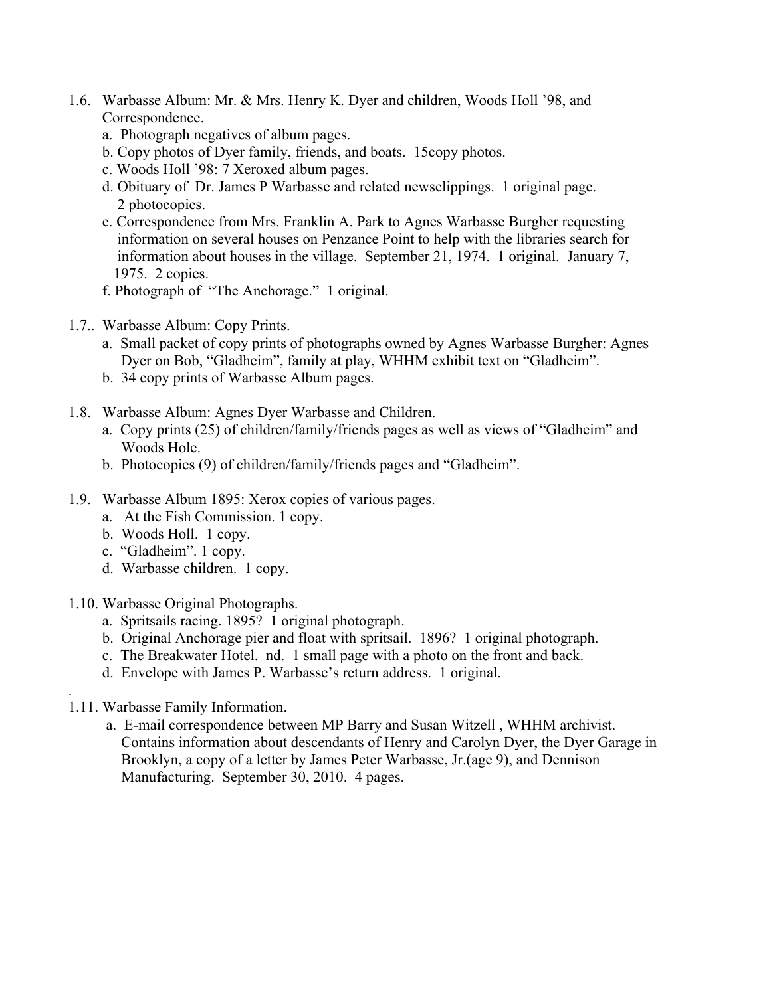- 1.6. Warbasse Album: Mr. & Mrs. Henry K. Dyer and children, Woods Holl '98, and Correspondence.
	- a. Photograph negatives of album pages.
	- b. Copy photos of Dyer family, friends, and boats. 15copy photos.
	- c. Woods Holl '98: 7 Xeroxed album pages.
	- d. Obituary of Dr. James P Warbasse and related newsclippings. 1 original page. 2 photocopies.
	- e. Correspondence from Mrs. Franklin A. Park to Agnes Warbasse Burgher requesting information on several houses on Penzance Point to help with the libraries search for information about houses in the village. September 21, 1974. 1 original. January 7, 1975. 2 copies.
	- f. Photograph of "The Anchorage." 1 original.
- 1.7.. Warbasse Album: Copy Prints.
	- a. Small packet of copy prints of photographs owned by Agnes Warbasse Burgher: Agnes Dyer on Bob, "Gladheim", family at play, WHHM exhibit text on "Gladheim".
	- b. 34 copy prints of Warbasse Album pages.
- 1.8. Warbasse Album: Agnes Dyer Warbasse and Children.
	- a. Copy prints (25) of children/family/friends pages as well as views of "Gladheim" and Woods Hole.
	- b. Photocopies (9) of children/family/friends pages and "Gladheim".
- 1.9. Warbasse Album 1895: Xerox copies of various pages.
	- a. At the Fish Commission. 1 copy.
	- b. Woods Holl. 1 copy.
	- c. "Gladheim". 1 copy.
	- d. Warbasse children. 1 copy.
- 1.10. Warbasse Original Photographs.
	- a. Spritsails racing. 1895? 1 original photograph.
	- b. Original Anchorage pier and float with spritsail. 1896? 1 original photograph.
	- c. The Breakwater Hotel. nd. 1 small page with a photo on the front and back.
	- d. Envelope with James P. Warbasse's return address. 1 original.
- 1.11. Warbasse Family Information.

.

a. E-mail correspondence between MP Barry and Susan Witzell , WHHM archivist. Contains information about descendants of Henry and Carolyn Dyer, the Dyer Garage in Brooklyn, a copy of a letter by James Peter Warbasse, Jr.(age 9), and Dennison Manufacturing. September 30, 2010. 4 pages.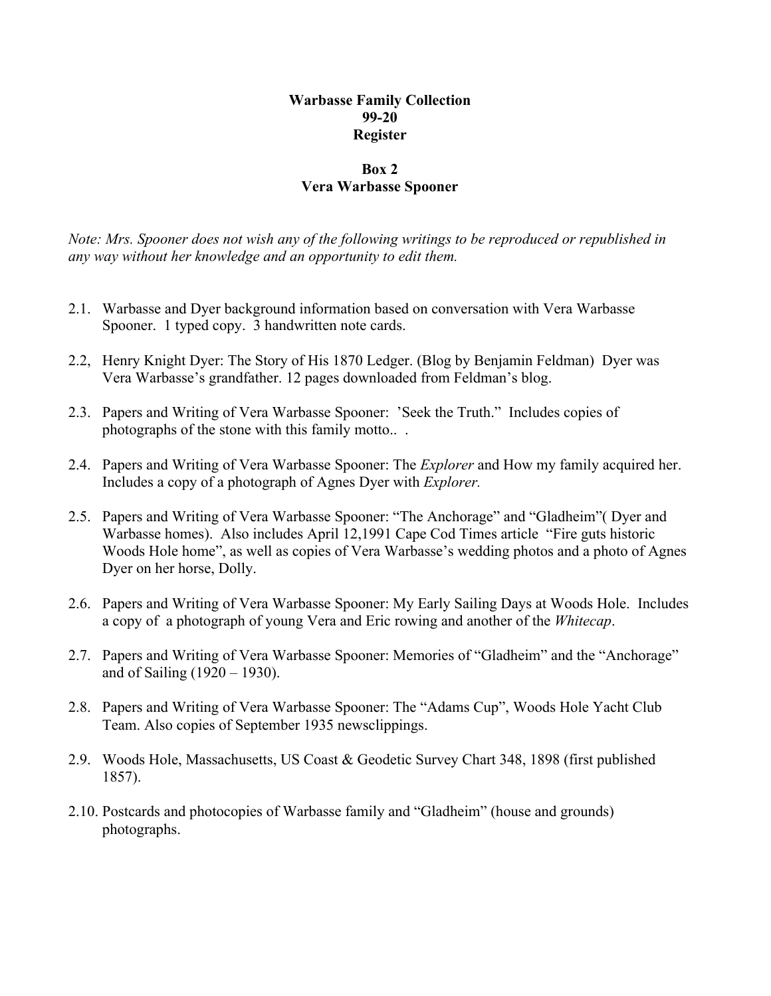## **Warbasse Family Collection 99-20 Register**

### **Box 2 Vera Warbasse Spooner**

*Note: Mrs. Spooner does not wish any of the following writings to be reproduced or republished in any way without her knowledge and an opportunity to edit them.*

- 2.1. Warbasse and Dyer background information based on conversation with Vera Warbasse Spooner. 1 typed copy. 3 handwritten note cards.
- 2.2, Henry Knight Dyer: The Story of His 1870 Ledger. (Blog by Benjamin Feldman) Dyer was Vera Warbasse's grandfather. 12 pages downloaded from Feldman's blog.
- 2.3. Papers and Writing of Vera Warbasse Spooner: 'Seek the Truth." Includes copies of photographs of the stone with this family motto.. .
- 2.4. Papers and Writing of Vera Warbasse Spooner: The *Explorer* and How my family acquired her. Includes a copy of a photograph of Agnes Dyer with *Explorer.*
- 2.5. Papers and Writing of Vera Warbasse Spooner: "The Anchorage" and "Gladheim"( Dyer and Warbasse homes). Also includes April 12,1991 Cape Cod Times article "Fire guts historic Woods Hole home", as well as copies of Vera Warbasse's wedding photos and a photo of Agnes Dyer on her horse, Dolly.
- 2.6. Papers and Writing of Vera Warbasse Spooner: My Early Sailing Days at Woods Hole. Includes a copy of a photograph of young Vera and Eric rowing and another of the *Whitecap*.
- 2.7. Papers and Writing of Vera Warbasse Spooner: Memories of "Gladheim" and the "Anchorage" and of Sailing (1920 – 1930).
- 2.8. Papers and Writing of Vera Warbasse Spooner: The "Adams Cup", Woods Hole Yacht Club Team. Also copies of September 1935 newsclippings.
- 2.9. Woods Hole, Massachusetts, US Coast & Geodetic Survey Chart 348, 1898 (first published 1857).
- 2.10. Postcards and photocopies of Warbasse family and "Gladheim" (house and grounds) photographs.